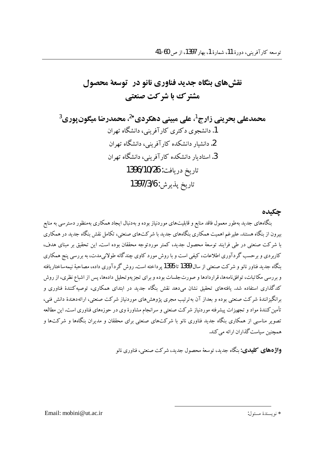# نقش های پنگاه حدید فناوری نانو در آتوسعهٔ محصول مشترک با شرکت صنعتی

حكىدە بنگاههای جدید بهطور معمول فاقد منابع و قابلیتهای موردنیاز بوده و بهدنبال ایجاد همکاری بهمنظور دسترسی به منابع بیرون از بنگاه هستند. علیرغم اهمیت همکاری بنگاههای جدید با شر کتهای صنعتی، تکامل نقش بنگاه جدید در همکاری با شرکت صنعتی در طی فرایند توسعهٔ محصول جدید، کمتر موردتوجه محققان بوده است. این تحقیق بر مبنای هدف، کاربردی و برحسب گردآوری اطلاعات، کیفی است و با روش مورد کاوی چندگانه طولانی مدت، به بررسی پنج همکاری بنگاه جدید فناور نانو و شرکت صنعتی از سال 1389 تا 1395 پر داخته است. روش گر دآوری داده، مصاحبهٔ نیمه ساختاریافته و بررسی مکاتبات، توافقنامهها، قراردادها و صورتجلسات بوده و برای تجزیهوتحلیل دادهها، پس از اشباع نظری، از روش .<br>کدگذاری استفاده شد. بافتههای تحقیق نشان می(دهد نقش بنگاه جدید در ایتدای همکاری، توصیهکنندهٔ فناوری و برانگیزانندهٔ شرکت صنعتی بوده و بعداز آن بهترتیب مجری یژوهش های موردنیاز شرکت صنعتی، ارائهدهندهٔ دانش فنی، تأمین کنندهٔ مواد و تجهیزات پیشرفته موردنیاز شرکت صنعتی و سرانجام مشاورهٔ وی در حوزههای فناوری است.این مطالعه .<br>تصویر مناسبی از همکاری بنگاه جدید فناوری نانو با شرکتهای صنعتی برای محققان و مدیران بنگاهها و شرکتها و همچنین سیاست گذاران ارائه می کند.

**واژههای کلیدی:** پنگاه جدید، توسعهٔ محصول جدید، شرکت صنعتی، فناوری نانو

Email: mobini@ut.ac.ir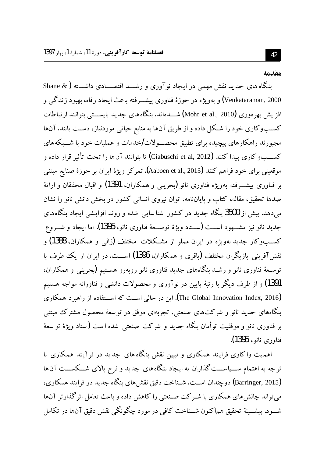#### مقدمه

ینگاه های جدید نقش مهمی در ایجاد نوآوری و رشــد اقتصـــادی داشـــته (& Shane Venkataraman, 2000) و پهوېژه در جوزۀ فناوري پېشــرفته پاعث ايجاد رفاه، بهبود زندگې و افزایش بهرهوری (Mohr et al., 2010) شـــدهاند. پنگاههای جدید پایســـتی بتوانند ارتباطات کسـبوکاری خود را شـکل داده و از طریق آنها به منابع حیاتی موردنیاز، دسـت یابند. آنها مجبورند راهکارهای پیچیده برای تطبیق محصــولاتIخدمات و عملیات خود با شـــبکههای كســــــــو كاري يبدا كنند (Ciabuschi et al, 2012) تا يتوانند آنها را تحت تأثير قرار داده و موقعیتی برای خود فراهم کنند (Aaboen et al., 2013). تمرکز ویژهٔ ایران بر حوزهٔ صنایع مبتنی بر فناوري پیشـــرفته بهویژه فناوری نانو (یحرینی و همکاران، 1391) و اقبال محققان و ارائهٔ صدها تحقیق، مقاله، کتاب و پایانiامه، توان نیروی انسانی کشور در بخش دانش نانو را نشان می،دهد. بیش از 3500 بنگاه جدید در کشور شناسایی شده و روند افزایشی ایجاد بنگاههای جدید نانو نیز مشـــهود اســـت (ســـتاد ویژهٔ توســـعهٔ فناوری نانو، 1395). اما ایجاد و شـــروع کســبوکار جدید بهویژه در ایران مملو از مشـکلات مختلف (زالمی و همکاران، 1388) و نقش آفرینی بازیگران مختلف (باقری و همکاران، 1396) اســت. در ایران از یک طرف با توسـعهٔ فناوری نانو و رشـد بنگاههای جدید فناوری نانو روبهرو هسـتیم (بحرینی و همکاران، 1391) و از طرف دیگر با رتبهٔ پایین در نوآوری و محصولات دانشی و فناورانه مواجه هستیم (The Global Innovation Index, 2016). این در حالی اســت که اســتفاده از راهبرد همکاری بنگاههای جدید نانو و شرکتهای صنعتی، تجربهای موفق در توسعهٔ محصول مشترک مبتنبی بر فناوری نانو و موفقیت توأمان بنگاه جدید و شرکت صنعتی شده است (ستاد ویژهٔ توسعهٔ فناوري نانو، 1395).

اهمیت واکاوی فرایند همکاری و تبیین نقش بنگاه های جدید در فرآیند همکاری با توجه به اهتمام ســـیاســـت گذاران به ایجاد بنگاههای جدید و نرخ بالای شـــکســـت آنها (Barringer, 2015) دوچندان اســت. شــناخت دقیق نقش۵ای بنگاه جدید در فرایند همکاری، می تواند چالش های همکاری با شـرکت صـنعتی را کاهش داده و باعث تعامل اثر گذارتر آنها شـــود. پیشـــینهٔ تحقیق هم|کنون شـــناخت کافی در مورد چگونگی نقش دقیق آنها در تکامل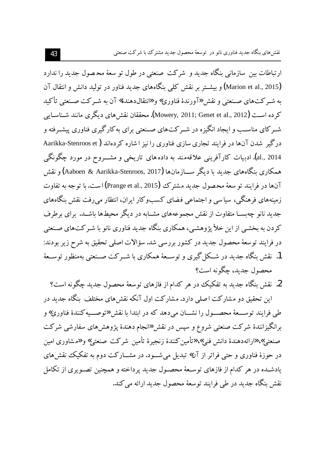ارتباطات بین سازمانی بنگاه جدید و شرکت صنعتی در طول تو سعهٔ محـصول جدید را ندارد (Marion et al., 2015) و بیشــتر بر نقش کلمی بنگاههای جدید فناور در تولید دانش و انتقال آن به شـر كتهاى صـنعتى و نقش «آورندهٔ فناوري» و «انتقالدهندهٔ» آن به شـر كت صـنعتى تأكيد کر ده اسـت (Mowery, 2011; Genet et al., 2012). محققان نقش های دیگری مانند شـناسـایی شـرکای مناسـب و ایجاد انگیزه در شـرکتهای صـنعتی برای بهکارگیری فناوری پیشـرفته و درگیر شدن آنها در فرایند تجاری سازی فناوری را نیز اشاره کردهاند ( Aarikka-Stenroos et al., 2014). ادبيات كارآفريني علاقهمند به داده هاي تاريخي و مشـــروح در مورد چگونگي همکاری بنگاههای جدید با دیگر ســـازمانها (Aaboen & Aarikka-Stenroos, 2017) و نقش آنها در فرایند تو سعهٔ محصول جدید مشترک (Prange et al., 2015) است. با توجه به تفاوت زمینههای فرهنگی، سیاسی و اجتماعی فضای کسبوکار ایران، انتظار می رفت نقش بنگاههای جدید نانو چهبســا متفاوت از نقش مجموعههای مشــابه در دیگر محیطها باشــد. برای برطرف کردن به بخشبی از این خلأ پژوهشبی، همکاری بنگاه جدید فناوری نانو با شـر کتهای صـنعتی در فرایند توسعهٔ محصول جدید در کشور بررسی شد. سؤالات اصلی تحقیق به شرح زیر بودند: 1. نقش بنگاه جدید در شـكل گیری و توســعهٔ همكاری با شــر كت صــنعتی بهمنظور توســعهٔ محصول جديد، چگونه است؟

2. نقش بنگاه جدید به تفکیک در هر کدام از فازهای توسعهٔ محصول جدید چگونه است؟ این تحقیق دو مشارکت اصلی دارد. مشارکت اول آنکه نقشهای مختلف بنگاه جدید در

طی فرایند توســـعهٔ محصـــول را نشـــان میدهد که در ابتدا با نقش «توصـــیه کنندهٔ فناوری» و برانگیزانندهٔ شرکت صنعتی شروع و سپس در نقش «انجام دهندهٔ پژوهشهای سفارشی شرکت صنعتي» «ارائهدهندهٔ دانش فني» «تأمين كنندهٔ زنجيرهٔ تأمين شركت صنعتي» و «مشاوري امين در حوزهٔ فناوری و حتی فراتر از آن» تبدیل میشـود. در مشــارکت دوم به تفکیک نقشهای یادشــده در هر کدام از فازهای توســعهٔ محصـول جدید پرداخته و همچنین تصــویری از تکامل نقش بنگاه جدید در طی فرایند توسعهٔ محصول جدید ارائه می کند.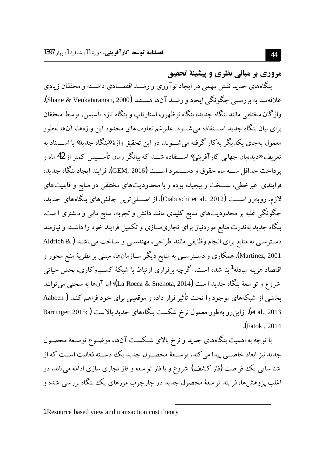مروري ير مياني نظري و پيشينهٔ تحقيق

بنگاههای جدید نقش مهمی در ایجاد نوآوری و رشــد اقتصـــادی داشـــته و محققان زیادی علاقهمند به بررســي چگونگـي ايجاد و رشــد آنها هســتند (Shane & Venkataraman, 2000). واژ گان مختلفی مانند پنگاه جدید، پنگاه نوظهور، استارتاپ و پنگاه تازه تأسیس، توسط محققان برای بیان بنگاه جدید اســـتفاده میشـــود. علیرغم تفاوتهای محدود این واژهها، آنها بهطور معمول به جای یکدیگر به کار گرفته می شــوند. در این تحقیق واژهٔ «بنگاه جدید» با اســـتناد به ۔<br>تعریف «دیدہبان جھانی کارآفرینی» اســـتفاده شـــد که بیانگر زمان تأســـیس کمتر از 42ماه و پرداخت حداقل ســــه ماه حقوق و دســـتمزد اســــت (GEM, 2016). فرايند ايجاد بنگاه جديد، فرایندی غیرخطی، ســخت و پیچیده بوده و با محدودیتهای مختلفی در منابع و قابلیتهای لازم، روبهرو اســـت (Ciabuschi et al., 2012). از اصــــلي ترين چالش هاي بنگاههاي جديد، چگونگی غلبه بر محدودیتهای منابع کلیدی مانند دانش و تجربه، منابع مالی و مشتری ا ست. بنگاه جدید بهندرت منابع موردنیاز برای تجاریسـازی و تکمیل فرایند خود را داشـته و نیازمند دسترسـی به منابع برای انجام وظایفی مانند طراحی، مهندسـی و سـاخت میباشـد (& Aldrich Martinez, 2001). همکاري و دسـترســي به منابع ديگر ســازمانها، مبتنـي بر نظريهٔ منبع محور و اقتصاد هزینه مبادله<sup>1</sup>بنا شده است. اگرچه برقراری ارتباط با شبکهٔ کسبوکاری، بخش حیاتی شروع و تو سعهٔ بنگاه جدید ا ست (La Rocca & Snehota, 2014)؛ اما آنها به سختی می توانند بخشی از شبکههای موجود را تحت تأثیر قرار داده و موقعیتی برای خود فراهم کنند ( Aaboen et al., 2013).ازاین٫و بهطور معمول نرخ شکست بنگاههای جدید بالاست ( Barringer, 2015; Fatoki, 2014.

با توجه به اهمیت بنگاههای جدید و نرخ بالای شـکسـت آنها، موضـوع توسـعهٔ محصـول جدید نیز ابعاد خاصـبی پیدا می کند. توســعهٔ محصــول جدید یک دســته فعالیت اســت که از شنا سایی یک فر صت (فاز کشف) شروع و با فاز تو سعه و فاز تجاری سازی ادامه می یابد. در اغلب پژوهش،ا، فرایند تو سعهٔ محصول جدید در چارچوب مرزهای یک بنگاه برر سی شده و

<sup>1</sup> Resource based view and transaction cost theory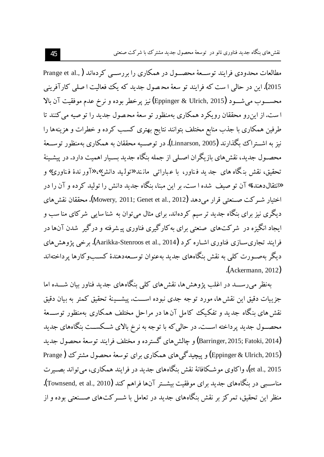مطالعات محدودی فرایند توســعهٔ محصــول در همکاری را بر رســـ , کردهاند ( ,.Prange et al 2015). این در حالی ا ست که فرایند تو سعهٔ محصول جدید که یک فعالیت ا صلی کارآفرینی محســـوب مي شـــود (Eppinger & Ulrich, 2015) نيز يو خطر بوده و نرخ عدم موفقيت آن بالا است. از این رو محققان رویکرد همکاری بهمنظور تو سعهٔ محصول جدید را تو صیه می کنند تا طرفین همکاری با جذب منابع مختلف بتوانند نتایج بهتری کسب کرده و خطرات و هزینهها را نيز به اشــتراك بگذارند (Linnarson, 2005). در توصــيه محققان به همكاري بهمنظور توســعهٔ محصـول جدید، نقش های بازیگران اصـلی از جمله بنگاه جدید بسـیار اهمیت دارد. در پیشـینهٔ تحقيق، نقش بنگاه هاي جد يد فناور، با عباراتي مانند «توليد دانش» «آور ندهٔ فناوري» و «انتقالدهندهٔ» آن تو صیف شده ا ست. بر این مبنا، بنگاه جدید دانش را تولید کرده و آن را در اختيار شـر كت صـنعتي قرار مي١هد (Mowery, 2011; Genet et al., 2012). محققان نقش هاي دیگری نیز برای بنگاه جدید تر سیم کردهاند. برای مثال می توان به شناسایی شرکای منا سب و ایجاد انگیزه در شرکتهای صنعتی برای به کارگیری فناوری پیشرفته و درگیر شدن آنها در فرایند تجاریسـازی فناوری اشــاره کرد (Aarikka-Stenroos et al., 2014). برخی یژوهش های دیگر بهصـورت کلمی به نقش بنگاههای جدید بهعنوان توسـعهدهندهٔ کســبوکارها پرداختهاند .(Ackermann, 2012)

بهنظر میروســد در اغلب یژوهش ها، نقش های کلی بنگاههای جدید فناور بیان شـــده اما جزييات دقيق اين نقش ها، مورد توجه جدى نبوده اســـت. ييشــينهٔ تحقيق كمتر به بيان دقيق نقش های بنگاه جدید و تفکیک کامل آن ها در مراحل مختلف همکاری بهمنظور توســـعهٔ محصـول جدید پرداخته اســت. در حالی که با توجه به نرخ بالای شــکســت بنگاههای جدید |Ë|mµÂv»È Âe|ÀËY§¦¸fz»ÁÃ{f³ÉZÅ·ZqÁ(Barringer, 2015; Fatoki, 2014) (Eppinger & Ulrich, 2015) و پیچیدگی های همکاری برای توسعهٔ محصول مشترک (Prange et al., 2015)، واکاوي موشـکافانهٔ نقش بنگاههاي جديد در فرايند همکاري، مي تواند بصـير ت مناســبي در بنگاههاي جديد براي موفقيت بيشــتر آن&ا فراهم كند (Townsend, et al., 2010**)**. منظر این تحقیق، تمرکز بر نقش بنگاههای جدید در تعامل با شـــرکتهای صـــنعتی بوده و از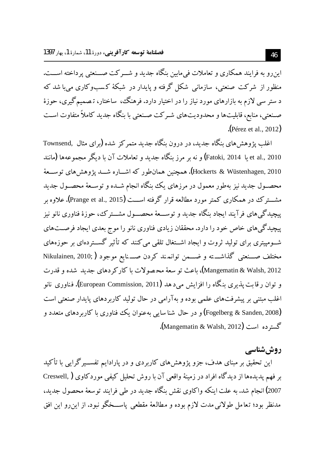این رو به فرایند همکاری و تعاملات فی مایین بنگاه جدید و شـــر کت صـــنعتی پر داخته اســـت. منظور از شرکت صنعتی، سازمانی شکل گرفته و پایدار در شبکهٔ کسبوکاری می با شد که د ستر سي لازم به بازارهاي مورد نياز را در اختيار دارد. فرهنگ، ساختار، تـصميم گيري، حوزهٔ صـنعتبي، منابع، قابليتها و محدوديتهاى شـركت صـنعتبي با بنگاه جديد كاملاً متفاوت اسـت (Pérez et al., 2012).

اغلب پژوهش های بنگاه جدید، در درون بنگاه جدید متمرکز شده (برای مثال ۲ownsend, et al., 2010 یا Fatoki, 2014) و نه بر مرز بنگاه جدید و تعاملات آن با دیگر مجموعهها (مانند Hockerts & Wüstenhagen, 2010). همچنین همان $\det$ و که اشـــاره شـــد یژوهش های توســـعهٔ محصـول جدید نیز بهطور معمول در مرزهای یک بنگاه انجام شــده و توســعهٔ محصـول جدید مشـــتم ک در همکاری کمتر مورد مطالعه قرار گرفته اســـت (Prange et al., 2015). علاوه بر پیچیدگی های فرآیند ایجاد بنگاه جدید و توســـعهٔ محصـــول مشـــترک، حوزهٔ فناوری نانو نیز پیچیدگم های خاص خود را دارد. محققان زیادی فناوری نانو را موج بعدی ایجاد فرصـتهای شـومیتری برای تولید ثروت و ایجاد اشـتغال تلقی می کنند که تأثیر گســتردهای بر حوزههای مختلف صــنعتى گذاشـــته و ضـــمن توانمـند كردن صـــنايع موجود ( Nikulainen, 2010; Mangematin & Walsh, 2012)، باعث تو سعهٔ محصولات با کارکر دهای جدید شده و قدرت و توان رقابت پذیری بنگاه را افزایش می دهد (European Commission, 2011). فناوری نانو اغلب میتنی بر پیشرفتهای علمی بوده و بهآرامی در حال تولید کاربردهای پایدار صنعتی است (Fogelberg & Sanden, 2008) و در حال شنا سایی بهعنوان یک فناوری با کاربردهای متعدد و گسترده است (Mangematin & Walsh, 2012).

روش شناسے

این تحقیق بر مبنای هدف، جزو پژوهش های کاربردی و در پارادایم تفســبرگرایی با تأکید بر فهم يديدهها از ديدگاه افراد در زمينهٔ واقعي آن با روش تحليل كيفي موردكاوي ( Creswell, 2007) انجام شد. به علت اينكه واكاوي نقش بنگاه جديد در طي فرايند توسعهٔ محصول جديد، مدنظر بود؛ تعامل طولانی مدت لازم بوده و مطالعهٔ مقطعی پاســخگو نبود. از این٫و این افق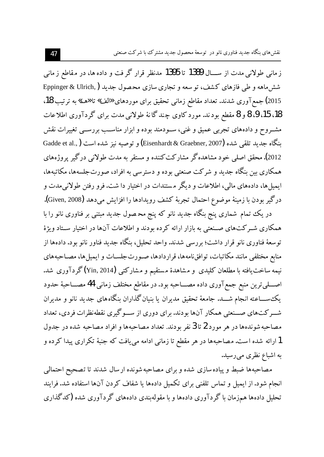ز مانی طولانی مدت از ســـال 1389 تا 1395 مدنظر قرار گر فت و داده ها، در مقاطع ز مانی شش ماهه و طی فازهای کشف، توسعه و تجاری سازی محصول جدید ( Eppinger & Ulrich, 2015) جمع آوري شدند. تعداد مقاطع زماني تحقيق براي موردهاي «الف» تا «هـ» به ترتيب 18، 18، 15، 9، 8 و 8 مقطع بودند. مورد کاوی چند گانهٔ طولانی مدت برای گردآوری اطلاعات مشــروح و دادههای تجربی عمیق و غنی، ســودمند بوده و ابزار مناســب بررســی تغییرات نقش بنگاه جديد تلقى شده (Eisenhardt & Graebner, 2007) و توصيه نيز شده است ( .Gadde et al 2012). محقق اصلی خود مشاهده گر مشارکت کننده و مستقر به مدت طولانی درگیر پروژههای همکاری بین بنگاه جدید و شرکت صنعتی بوده و دسترسی به افراد، صورتجلسهها، مکاتبهها، ایمیل ها، دادههای مالی، اطلاعات و دیگر مستندات در اختیار دا شت. فرو رفتن طولانی مدت و درگير بودن با زمينهٔ موضوع احتمال تجربهٔ كشف رويدادها را افزايش مىدهد (Given, 2008).

در یک تمام شماری پنج بنگاه جدید نانو که پنج محصول جدید مبتنی بر فناوری نانو را با همکاری شـرکتهای صـنعتی به بازار ارائه کرده بودند و اطلاعات آنها در اختیار سـتاد ویژهٔ توسعهٔ فناوری نانو قرار داشت؛ بررسی شدند. واحد تحلیل، بنگاه جدید فناور نانو بود. دادهها از منابع مختلفي مانند مكاتبات، توافقiامهها، قراردادها، صـورت جلسـات و ايميل ها، مصـاحبههاي نیمه ساخت یافته با مطلعان کلیدی و مشاهدهٔ مستقیم و مشارکتبی (Yin, 2014)گردآوری شد. اصــــليترين منبع جمع آوري داده مصــــاحبه بود. در مقاطع مختلف زماني 44 مصــــاحبهٔ حدود یک ســـاعته انـجام شــــد. جامعهٔ تحقیق مدیران یا بنیان گذاران بنگاههای جدید نانو و مدیران شـــرکتهای صـــنعتی همکار آنها بودند. برای دوری از ســـوگیری نقطهنظرات فردی، تعداد مصاحبه شوندهها در هر مورد 2 تا 3 نفر بودند. تعداد مصاحبهها و افراد مصاحبه شده در جدول 1 ارائه شده است. مصاحبهها در هر مقطع تا زمانی ادامه می یافت که جنبهٔ تکراری پیدا کرده و به اشباع نظری میرسید.

مصاحبهها ضبط و پیاده سازی شده و برای مصاحبه شونده ار سال شدند تا تصحیح احتمالی انجام شود. از ایمیل و تماس تلفنی برای تکمیل دادهها یا شفاف کردن آنها استفاده شد. فرایند تحلیل دادهها همزمان با گردآوری دادهها و با مقولهبندی دادههای گردآوری شده (کدگذاری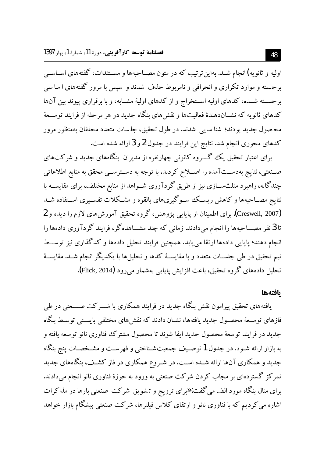اولیه و ثانویه)انجام شـد. بهاین ترتیب که در متون مصـاحبهها و مسـتندات، گفتههای اسـاسـی برجسته و موارد تکراری و انحرافی و نامربوط حذف شدند و سپس با مرور گفتههای ا سا سی برجســته شــده، كدهاي اوليه اســتخراج و از كدهاي اوليهٔ مشــابه، و با برقراري پيوند بين آنها کدهای ثانویه که نشــاندهندهٔ فعالیتها و نقشهای بنگاه جدید در هر مرحله از فرایند توســعهٔ محـصول جديد بودند؛ شنا سايي شدند. در طول تحقيق، جلسات متعدد محققان بهمنظور مرور كدهاي محوري انجام شد. نتايج اين فرايند در جدول 2 و 3 ارائه شده است.

برای اعتبار تحقیق یک گـــروه کانونی چهارنفره از مدیران بنگاههای جدید و شرکتهای صـنعتي، نتايج بهدســتآمده را اصــلاح كردند. با توجه به دســترســي محقق به منابع اطلاعاتي چندگانه، راهبرد مثلثســـازی نیز از طریق گردآوری شــواهد از منابع مختلف، برای مقایســـه با نتایج مصـاحبهها و کاهش ریســک ســوگیریهای بالقوه و مشــکلات تفســیری اســتفاده شــد (Creswell, 2007). برای اطمینان از پایایی پژوهش، گروه تحقیق آموزش های لازم را دیده و 2 تا 3 نفر مصـــاحبهها را انجام میدادند. زمانی که چند مشـــاهدهگر، فرایند گردآوری دادهها را انجام دهند؛ پایایی دادهها ارتقا می یابد. همچنین فرایند تحلیل دادهها و کدگذاری نیز توســط تیم تحقیق در طی جلســات متعدد و با مقایســهٔ کدها و تحلیلها با یکدیگر انجام شــد. مقایســهٔ تحليل دادههاي گروه تحقيق، باعث افزايش ياپايي بهشمار مي رود (Flick, 2014).

### بافتهها

یافتههای تحقیق پیرامون نقش بنگاه جدید در فرایند همکاری با شـــر کت صـــنعتبی در طبی فازهای توسـعهٔ محصـول جدید یافتهها، نشـان دادند که نقش۵های مختلفی بایسـتی توسـط بنگاه جديد در فرايند توسعهٔ محصول جديد ايفا شوند تا محصول مشترك فناوري نانو توسعه يافته و به بازار ارائه شـود. در جدول 1 توصـيف جمعيتشـناختي و فهرسـت و مشـخصـات پنج بنگاه جدید و همکاری آنها ارائه شـده اسـت.در شـروع همکاری در فاز کشـف، بنگاههای جدید تمرکز گستردهای بر مجاب کردن شرکت صنعتی به ورود به حوزهٔ فناوری نانو انجام میدادند. برای مثال بنگاه مورد الف میگفت: «برای ترویج و تشویق شرکت صنعتی بارها در مذاکرات اشاره می کردیم که با فناوری نانو و ارتقای کلاس فیلترها، شرکت صنعتی پیشگام بازار خواهد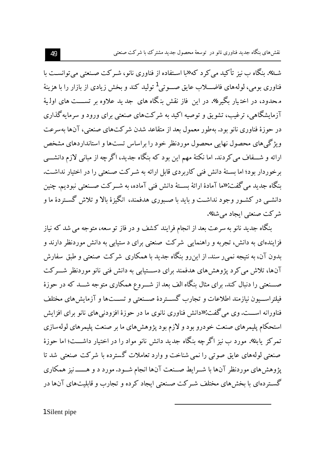شـد». ىنگاه ب نيز تأكيد مى كر د كه «يا اسـتفاده از فناورى نانو، شـر كت صـنعتى مى توانسـت با فناوري بومي، لولههاي فاضـــلاب عايق صـــوتي<sup>1</sup> توليد كند و بخش زيادي از بازار را با هزينهٔ محدود، در اختیار بگیرد». در این فاز نقش بنگاه های جد ید علاوه بر تســـت های اولـیهٔ آزمایشگاهی، ترغیب، تشویق و توصیه اکید به شرکتهای صنعتی برای ورود و سرمایه گذاری در حوزهٔ فناوری نانو بود. بهطور معمول بعد از متقاعد شدن شرکتهای صنعتی، آنها بهسرعت ویژگی های محصول نهایی محصول موردنظر خود را براساس تستها و استانداردهای مشخص ارائه و شـــفاف می کردند. اما نکتهٔ مهم این بود که بنگاه جدید، اگر چه از مبانی لازم دانشـــی برخوردار بود؛ اما بستهٔ دانش فنی کاربردی قابل ارائه به شیرکت صنعتی را در اختیار نداشت. بنگاه جدید می گفت: «ما آمادهٔ ارائهٔ بســتهٔ دانش فنی آماده، به شــر کت صــنعتی نبودیم. چنین دانشــی در کشــور وجود نداشــت و باید با صــبوری هدفمند، انگیزهٔ بالا و تلاش گســتردهٔ ما و شر کت صنعتی ایجاد مے شد».

بنگاه جدید نانو به سرعت بعد از انجام فرایند کشف و در فاز تو سعه، متوجه می شد که نیاز فزایندهای به دانش، تجربه و راهنمایی شرکت صنعتی برای د ستیابی به دانش موردنظر دارند و بدون آن، به نتیجه نمی ر سند. از این رو بنگاه جدید با همکاری شرکت صنعتی و طبق سفارش آنها، تلاش می کرد یژوهش های هدفمند برای دســـتیابی به دانش فنی نانو موردنظر شـــرکت صـــنعتي را دنبال كند. براي مثال بنگاه الف بعد از شـــروع همكاري متوجه شـــد كه در حوزهٔ فيلتراســيون نيازمند اطلاعات و تجارب گســتردهٔ صــنعتبی و تســتها و آزمايش های مختلف فناورانه اســـت. وي مي گفت: «دانش فناوري نانوي ما در حوزهٔ افزودني هاي نانو براي افزايش استحکام پلیمرهای صنعت خودرو بود و لازم بود پژوهشهای ما بر صنعت پلیمرهای لولهسازی تمرکز پابد». مورد ب نیز اگر چه بنگاه جدید دانش نانو مواد را در اختیار داشـــت؛ اما حوزهٔ صنعتی لولههای عایق صوتی را نمی شناخت و وارد تعاملات گسترده با شرکت صنعتی شد تا پژوهش های موردنظر آنها با شــرایط صــنعت آنها انجام شــود. مورد د و هـــــــ نیز همکاری گسـتردهاي با بخش۵هاي مختلف شـرکت صـنعتي ايجاد کرده و تجارب و قابليتهاي آنها در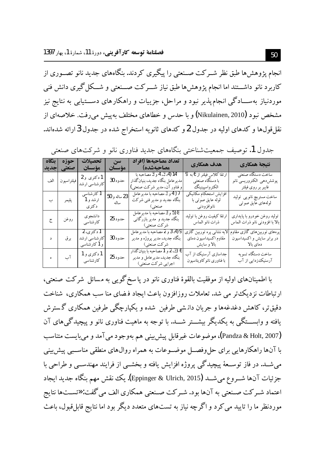انجام یژوهش ها طبق نظر شــرکت صــنعتی را پیگیری کردند. بنگاههای جدید نانو تصــوری از کاربرد نانو داشـــتند اما انجام یژوهشها طبق نیاز شـــرکت صـــنعتی و شـــکل گیری دانش فنی موردنیاز بهســـادگی انـجام پذیر نبود و مراحل، جزییات و راهکارهای دســـتیابی به نتایج نیز مشخص نبود (Nikulainen, 2010) و با حدس و خطاهای مختلف به پیش می رفت. خلاصهای از نقل قولها و کدهای اولیه در جدول 2 و کدهای ثانویه استخراج شده در جدول 3 ارائه شدهاند.

| ىنگاە | حوزه<br>صنعتی  جدید | تحصلات<br>مؤسسان                           | ا سوال<br>مؤسسان     | تعداد مصاحبهها (افراد<br>مصاحبهشده)                                                            | هدف همكاري                                                          | نتيجة همكاري                                                           |
|-------|---------------------|--------------------------------------------|----------------------|------------------------------------------------------------------------------------------------|---------------------------------------------------------------------|------------------------------------------------------------------------|
|       | فيلتراسيون الف      | 1دکتری و 2<br>كارشناسي ارشد                | حدود 30              | 14 (4، 3، 4 و 3 مصاحبه با<br>مدير عامل بنگاه جديد، بنيان گذار<br>و فناور آن، مدیر شرکت صنعتبی) | ارتقا كلاس فيلتر از 6به 9<br>با دستگاه صنعتی<br>الكترواسپينينگ      | ساخت دستگاه صنعتی<br>يوشش دهي الكتروريسي نانو<br>فايبر بر روى فيلتر    |
| ب     | پليمر               | 1 کارشناسی<br>ارشد و 1<br>د کتر ی          | 23 ساله و 50<br>ساله | 7 (4 و 3 مصاحبه با مدير عامل<br>بنگاه جدید و مدیر فنبی شرکت<br>صنعتی)                          | افزايش استحكام مكانيكي<br>لوله عايق صوتي با<br>نانوافزودنبي         | ساخت مستربچ نانویبی تولید<br>لولههاي عايق صوتبي                        |
| ج     | روغن                | دانشجوى<br>کارشناسی                        | حدود 25              | 8 (5 و 3 مصاحبه با مدير عامل<br>بنگاه جدید و مدیر بازرگانبی<br>شرکت صنعتی)                     | ارتقا كيفيت روغن با توليد<br>ذرات نانو الماس                        | توليد روغن خودرو با پايدارى<br>بالا با افزودني نانو ذرات الماس         |
| د     | بر ق                | 1 دکتری، 2<br>کارشناسی ارشد<br>و 1کارشناسی | حدود 30              | 9 (4، 3 و 2 مصاحبه با مدّ پر عامل<br>بنگاه جدید، مدیر پروژه و مدیر<br>شركت صنعتي)              | لایه نشانبی پره توربین گازی<br>مقاوم اكسيداسيون دماي<br>بالا و سايش | پرەھای توربین&ای گازی مقاوم<br>در برابر سایش و اکسیداسیون<br>دمای بالا |
|       | آب                  | 1 دکتری و 1<br>كارشناسى                    | حدود 25              | 6 (3، 2و 1 مصاحبه با بنيان گذار<br>بنگاه جدید، مدیر عامل و مدیر<br>اجرایی شرکت صنعتی)          | جداسازی آرسنیک از آب<br>با فناوری نانوکاویتاسیون                    | ساخت دستگاه تسو به<br>آرسنیک زدایی از آب                               |

جدول 1. توصيف جمعيتشناختي بنگاههاي جديد فناوري نانو و شركتهاي صنعتي

با اطمینانهای اولیه از موفقیت بالقوهٔ فناوری نانو در یا سخ گویی به مسائل شرکت صنعتی، ارتباطات نزدیک تر می شد. تعاملات روزافزون باعث ایجاد فرضای منا سب همکاری، شناخت دقیقتر، کاهش دغدغهها و جریان دانستی طرفین شده و یکپارچگی طرفین همکاری گسترش یافته و وابســــتگی به یکدیگر بیشـــتر شـــد. با توجه به ماهیت فناوری نانو و پیچیدگی های آن (Pandza & Holt, 2007)، موضوعات غیرقابل پیش بینی هم بهوجود می آمد و می بایست متناسب با آنها راهکارهایی برای حل وفصــل موضــوعات به همراه روال&ای منطقی مناســبی پیش بینی می شــد. در فاز توســعهٔ پیچیدگی پروژه افزایش یافته و بخشــی از فرایند مهندســی و طراحی با جزئيات آنها شــروع ميشــد (Eppinger & Ulrich, 2015). يك نقش مهم بنگاه جديد ايجاد اعتماد شـر كت صـنعتبي به آنها بود. شـر كت صـنعتبي همكاري الف مي گفت: «تسـتها نتايج موردنظر ما را تایید می کرد و اگر چه نیاز به تستهای متعدد دیگر بود اما نتایج قابل قبول، باعث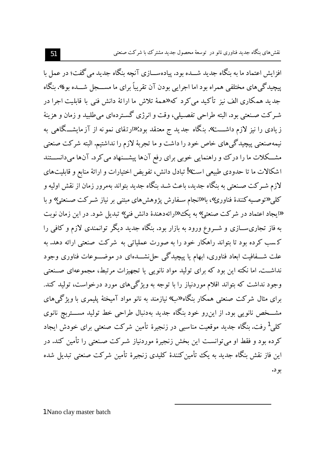افزایش اعتماد ما به بنگاه جدید شــده بود. پیادهســازی آنچه بنگاه جدید می گفت؛ در عمل با پیچیدگی های مختلفی همراه بود اما اجرایی بودن آن تقریباً برای ما مســـجل شـــده بود». بنگاه جدید همکاری الف نیز تأکید می کرد که «همهٔ تلاش ما ارائهٔ دانش فنی با قابلیت اجرا در شـرکت صـنعتي بود. البته طراحي تفصـيلي، وقت و انرژي گسـتردهاي مي طلبيد و زمان و هزينهٔ زیادی را نیز لازم داشـــت». بنگاه جدید ج معتقد بود: «رتقای نمو نه از آزمایشــگاهی به نیمهصنعتی پیچیدگی های خاص خود را داشت و ما تجربهٔ لازم را نداشتیم. البته شرکت صنعتی مشــکلات ما را درک و راهنمایی خوبی برای رفع آنها پیشــنهاد می کرد. آنها می دانســـتند اشکالات ما تا حدودی طبیعی است»! تبادل دانش، تفویض اختیارات و ارائهٔ منابع و قابلیتهای لازم شـرکت صـنعتي به بنگاه جديد، باعث شـد بنگاه جديد بتواند بهمرور زمان از نقش اوليه و کلی «توصیه کنندهٔ فناوری»، با «انجام سـفارش پژوهش های مبتنی بر نیاز شـرکت صـنعتی» و با «ایجاد اعتماد در شرکت صنعتی» به یک «ارائهدهندهٔ دانش فنی» تبدیل شود. در این زمان نوبت به فاز تجاری ســازی و شـــروع ورود به بازار بود. بنگاه جدید دیگر توانمندی لازم و کافی را کسب کرده بود تا بتواند راهکار خود را به صورت عملیاتی به شرکت صنعتی ارائه دهد. به علت شـــفافیت ابعاد فناوری، ابهام یا پیچیدگی حل'شــــدهای در موضــــوعات فناوری وجود نداشــت. اما نکته این بود که برای تولید مواد نانویی یا تجهیزات مرتبط، مجموعهای صــنعتی وجود نداشت که بتواند اقلام موردنیاز را با توجه به ویژگیهای مورد درخواست، تولید کند. برای مثال شرکت صنعتی همکار بنگاه «ب» نیازمند به نانو مواد آمیختهٔ پلیمری با ویژگی های مشـــخص نانویی بود. از این٫رو خود بنگاه جدید بهدنبال طراحی خط تولید مســـتربچ نانوی کلی<sup>1</sup> رفت. بنگاه جدید موقعیت مناسبی در زنجیرهٔ تأمین شرکت صنعتی برای خودش ایجاد کرده بود و فقط او می توانست این بخش زنجیرهٔ موردنیاز شـرکت صـنعتی را تأمین کند. در این فاز نقش بنگاه جدید به یک تأمین کنندهٔ کلیدی زنجیرهٔ تأمین شرکت صنعتی تبدیل شده بو د.

1 Nano clay master batch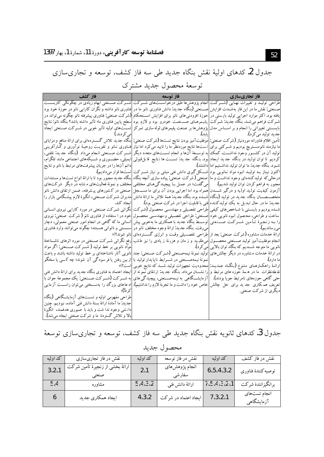جدول 2. کدهای اولیهٔ نقش بنگاه جدید طی سه فاز کشف، توسعه و تجاریسازی

| فاز كشف                                                                                                                                                                                                                                                         |                                                                                                                          | فاز تجاریسازی                                                      |
|-----------------------------------------------------------------------------------------------------------------------------------------------------------------------------------------------------------------------------------------------------------------|--------------------------------------------------------------------------------------------------------------------------|--------------------------------------------------------------------|
| طراحی تولیـد و تغییرات نهـایی (شـــرکـت  انجام پژوهش۱ه طبق درخواســـت۱های شـــرکت اشـــرکت صـــنعتی ابهام زیادی در چگونگی کاربســـت                                                                                                                             |                                                                                                                          |                                                                    |
| صــنعتی: نقش ما در این فاز بهشــدت افزایش  صـــنعتی (بنگاه جدید: دانش فناوری نانو ما در  فناوری نانو داشته و نگران کارایی نانو در حوزهٔ خود بود                                                                                                                 |                                                                                                                          |                                                                    |
| یافته بود. اکثر موارد اجرایی تولید بایستی در  حوزهٔ افزودنی۵های نانو برای افزایش اســـتحکام (شرکت صنعتی: فناوری پیشرفته نانو چگونه می تواند در                                                                                                                  |                                                                                                                          |                                                                    |
| شـرکت فراهم میشـد. بنگاه جدید: شـرکت   پلمیمرهـای صـــنعـت خودرو بود و لازم بود سطح پایین فناوری ما؛ تأثیر داشته باشد؟ بنگاه نانو: نتایج                                                                                                                        |                                                                                                                          |                                                                    |
| بایســتي تغییراتي را انجام و بر اســاس مدل اپژوهش۱ها بر صنعت پليمرهاي لوله سازي تمركز  تســت\عاي اوليه تأثير خوبي در شــركت صــنعتي ايجاد                                                                                                                       |                                                                                                                          |                                                                    |
| امر کے دند.)                                                                                                                                                                                                                                                    |                                                                                                                          | جديد توليد مي كرد).                                                |
| تأمین اقلام فناورانه موردنیاز (شرکت صنعتی: <mark>م</mark> وفقیتآمیز بودن نتایج تستها (شرکت صنعتی: <mark>بنگاه جدید تلاش گسستردهای برای ارائه منافع و مزایای</mark>                                                                                              |                                                                                                                          |                                                                    |
| ما نیازمند نانومسـتربچ بودیم و شــرکتبی برای <mark>ا</mark> نمست6ا نتایج موردنظر ما را تایید میکرد اما نیاز افنـاوری نــانو و تقویـت روحیـهٔ نوآوری و گــارآفرینی                                                                                               |                                                                                                                          |                                                                    |
| تولید آن در کشـــور وجود نداشـــت. کمک <mark>به توســـعهٔ آن۱ها و انجام تســـت۱های متعدد دیگر </mark> شـــرکت صـــنعتی انجام میداد (بنگاه جدید: تلفنی،                                                                                                          |                                                                                                                          |                                                                    |
| کردیم تا توان تولید در بنگاه جدید ایجاد ابود. بنگاه جدید: تســـت ها نتایج قا بلءقولی  ایمیلی، حضــوری و شــبکههای اجتماعی مانند تلگرام،                                                                                                                         |                                                                                                                          |                                                                    |
| دائم آنها را در جریان پیشرفتهای مرتبط با نانو و نتایج                                                                                                                                                                                                           |                                                                                                                          | شــود. بنگاه جدید: ما توان تولید نداشــتیم اما داشتند).            |
|                                                                                                                                                                                                                                                                 | اکنون نیـاز بــه تولیــد انبوه مواد نــانویـی ٰبود  شـــکل گیری دانش فنی مبتنی بر نیاز شـــر کِت  تسِتْها قرار می‹ددیم). |                                                                    |
| درحالی که تولیدکنندهای وجود نداشـت و ما  صنعتی (شرکت صنعتی: پیاده سازی آنچه بنگاه  بنگاه جدید مجبور بود تا با ارائه انواع تست\$ا و مستندات                                                                                                                      |                                                                                                                          |                                                                    |
| مجبور به فراهم کردن توان تولید شدیم). <mark>می گفت؛ در عمـل بـا پیچیدگی هـای مختلفی </mark> مختلف و نمونهٔ فعالیت،ای مشابه در دیگر  شرکت،ای                                                                                                                     |                                                                                                                          |                                                                    |
| آزمون کیفیت تولید اولیه و درگیر شـــدن همراه بود اما اجرایی بودن آن برای ما مســـجل صنعتی در کـشورهای پیـشرفته، ضمن ارتقای دانش نانو                                                                                                                            |                                                                                                                          |                                                                    |
| متخصـــصـــان بنگاه جدید در تولید (بنگاه شـــده بود.بنگاه جدید:همهٔ تلاش ما ارائهٔ دانش <mark>مدیران شــرکت صــنعتی، انگیزهٔ لازم پیش</mark> ـگامی بازار را                                                                                                     |                                                                                                                          |                                                                    |
|                                                                                                                                                                                                                                                                 | جدید: ما در حال تبدیل به یک تولیدکننده <mark>فنی با قابلیت اجرا در شرکت صنعتی بود).        ایجاد کند.</mark>             |                                                                    |
| شـده بودیم و بایســتی با شــاخص۵ای کیفی  طراحی تفصـیلی و مهندسـی محصـول (شـرکت انگرانی شـرکت صـنعتی در مورد کارایی نیروی انسـانی                                                                                                                                |                                                                                                                          |                                                                    |
| 'ساخت و طراحي، محصول انبوه نانويي خود  صنعتي: طراحي تفصـيلي و مهندسـي محصـول  خود در ا ستفاده از فناوري نانو (شركت صنعتي: نيروي                                                                                                                                 |                                                                                                                          |                                                                    |
| ارا بـه زنجیرهٔ تـأمین شـــرکــت صـــنعتبی توســط بنگاه جدید با همکاری ما بهخوبی پیش انسانی ما که گاهی در انجام امور صنعتی معمولی، دچار                                                                                                                         |                                                                                                                          |                                                                    |
| می رفت. بنگاه جدید: ارائهٔ وجوه مختلف نانو در اسسستی و ناتوانی هسـتند؛ چگونه می توانند وارد فناوری                                                                                                                                                              |                                                                                                                          | امي رسانديم).                                                      |
|                                                                                                                                                                                                                                                                 | ارائهٔ خدمات مشاوره (شرکت صنعتی: بعد از  طراحی تفصـــیلی وقـت و انرژی گســـتردهای  نانو شوند؟)؛                          |                                                                    |
| انجام موفقیتآمیز تولید صــنعتبی محصـــول می،طلبید و ز مان و هزینهٔ ز یادی را نیز طلب رفع نگرانی شــرکت صــنعتبی در مورد اثرهای ناشــناختهٔ                                                                                                                      |                                                                                                                          |                                                                    |
| مواد نانویی پر خط تولید (شــرکت صـــنعتی: اگر مواد                                                                                                                                                                                                              |                                                                                                                          | نانویی ما متوجه شــــدیم که بنگاه توان بالایی <mark>میکرد).</mark> |
| در ارائهٔ خدمات مشاوره در دیگر چالش۵های آتولید نمونهٔ نیمهصـنعتی (شــرکت صـنعتی: جند نانویی آثار ناشناختهای بر خط تولید داشته باشند و باعث                                                                                                                      |                                                                                                                          |                                                                    |
| انمونهٔ نیمهصــنعتی در شـــرابط ناپایدار تولید با ااز بین رفتن یا فر سودگی آن شوند؛ چه کسی یا سخگو                                                                                                                                                              |                                                                                                                          | ما دارد).                                                          |
|                                                                                                                                                                                                                                                                 | ارائـهٔ راهکـارهـای متنوع (بنگـاه جـدیـد: محدودیت تجهیزاتِ تولید شــد که نتایج خوبی است؟)؛                               |                                                                    |
| نقطهنظرات ً ما در ه مه حوزه های مرتبط و ارا نشـــان میداد. بنگاه جدید: ارتقای نمونه از ایجاد اعتماد به فناوری بنگاه جدید برای ارائهٔ دانش فنی                                                                                                                   |                                                                                                                          |                                                                    |
| حتی گاهی حوزههای نامرتبط جویا بودند). [آزمایشــگاهی به نیمهصــنعتی، پیچیدگی۵های به شـــرکت (شـــرکت صــنعتی: یک مجموعهٔ جوان با<br>تعریف همکاری جد ید برای حل چالش خاص خود را داشت و ما تجربهٔ لازم را نداشتیم). ادعاهای بزرگ را بهسـختی می[توان راســـت آزمایی |                                                                                                                          |                                                                    |
|                                                                                                                                                                                                                                                                 |                                                                                                                          | دیگری از شرکت صنعتی.                                               |
| طراحی مفهومی اولیه و تســتهای آزمایشــگاهی (بنگاه                                                                                                                                                                                                               |                                                                                                                          |                                                                    |
| جديد: ما آمادهٔ ارائهٔ بستهٔ دانش فنی آماده، نبودیم. چنین                                                                                                                                                                                                       |                                                                                                                          |                                                                    |
| دانشی وجود ندا شت و باید با صبوری هدفمند، انگیزهٔ                                                                                                                                                                                                               |                                                                                                                          |                                                                    |
| بالا و تلاش گستردهٔ ما و شرکت صنعتی ایجاد می شد). [                                                                                                                                                                                                             |                                                                                                                          |                                                                    |

توسعهٔ محصول جدید مشترک

جدول 3. کدهای ثانویه نقش بنگاه جدید طی سه فاز کشف، توسعه و تجاریسازی توسعهٔ

| كد اوليه | نقش در فاز تجاريسازي              | کد اولمه | نقش در فاز توسعه         | کد اولمه    | نقش در فاز کشف             |
|----------|-----------------------------------|----------|--------------------------|-------------|----------------------------|
| 3.2.1    | ارائهٔ بخشی از زنجیرهٔ تأمین شرکت | 2.1      | انجام پژوهشهای<br>سفارشي | 6.5.4.3.2   | توصيه كنندة فناوري         |
| 5.4      | مشاوره                            | 5.4.3.2  | ارائهٔ دانش فنی          | 7.5.4.3.2.1 | برانگیزانندهٔ شرکت         |
|          | ايجاد همكاري جديد                 | 4.3.2    | ایجاد اعتماد در شرکت     | 7.3.2.1     | انجام تستهای<br>آزمایشگاهی |

محصول جديد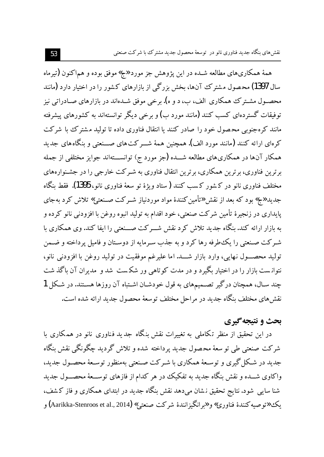همهٔ همکاریهای مطالعه شـده در این پژوهش جز مورد «ج» موفق بوده و هماکنون (تیرماه سال 1397) محصول مشترک آنها، بخش بزرگی از بازارهای کشور را در اختیار دارد (مانند محصـول مشـترک همکاری الف، ب، د و ه). برخی موفق شـدهاند در بازارهای صـادراتی نیز توفیقات گستردهای کسب کنند (مانند مورد ب) و برخی دیگر توانستهاند به کشورهای پیشرفته مانند کرهجنوبی محصول خود را صادر کنند یا انتقال فناوری داده تا تولید مشترک با شرکت کرهای ارائه کنند (مانند مورد الف). همچنین همهٔ شـــر کت۱ای صـــنعتی و بنگاههای جدید همکار آنها در همکاریهای مطالعه شـــده (جز مورد ج) توانســـتهاند جوایز مختلفی از جمله بر ترین فناوری، بر ترین همکاری، بر ترین انتقال فناوری به شـر کت خارجی را در جشـنوارههای مختلف فناوري نانو در كشور كسب كنند (ستاد ويژهٔ تو سعهٔ فناوري نانو، 1395). فقط بنگاه جدید «ج» بود که بعد از نقش «تأمین کنندهٔ مواد موردنیاز شـرکت صـنعتی» تلاش کرد بهجای پايداري در زنجيرهٔ تأمين شركت صنعتي، خود اقدام به توليد انبوه روغن با افزودني نانو كرده و به بازار ارائه کند. بنگاه جدید تلاش کرد نقش شـــرکت صـــنعتی را ایفا کند. وی همکاری با شـرکت صـنعتی را یکءطرفه رها کرد و به جذب سـرمایه از دوسـتان و فامیل پرداخته و ضـمن تولید محصـول نهایی، وارد بازار شـــد. اما علیرغم موفقیت در تولید روغن با افزودنی نانو، نتوانست بازار را در اختیار بگیرد و در مدت کوتاهی ور شکست شد و مدیران آن باگذ شت چند سـال، همچنان درگیر تصـمیمهای به قول خودشـان اشـتباه آن روزها هسـتند. در شـكل 1 نقش های مختلف بنگاه جدید در مراحل مختلف توسعهٔ محصول جدید ارائه شده است.

## بحث و نتيجه گيري

در این تحقیق از منظر تکاملی به تغییرات نقش بنگاه جدید فناوری نانو در همکاری با شرکت صنعتی طی تو سعهٔ محصول جدید پرداخته شده و تلاش گردید چگونگی نقش ىنگاه جدبد در شکا گیری و توسـعهٔ همکاری با شـرکت صـنعتبی بهمنظور توسـعهٔ محصـول جدید، واکاوی شـــده و نقش بنگاه جدید به تفکیک در هر کدام از فازهای توســـعهٔ محصـــول جدید شنا سایبی شود. نتایج تحقیق نشان میدهد نقش بنگاه جدید در ابتدای همکاری و فاز کشف، بک «تو صبه کنندهٔ فناوري» و «بر انگیز انندهٔ شرکت صنعتی» (Aarikka-Stenroos et al., 2014) و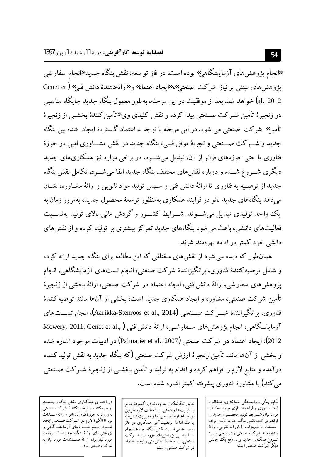«انجام یژوهش های آزمایشگاهی» بوده است. در فاز تو سعه، نقش بنگاه جدید «انجام سفار شی يژوهش هاي مبتني بر نياز شركت صنعتي»، «ايجاد اعتماد» و «ارائهدهندهٔ دانش فني» ( Genet et al., 2012) خواهد شد. بعد از موفقیت در این مرحله، بهطور معمول بنگاه جدید جایگاه مناسبی در زنجیرهٔ تأمین شــرکت صــنعتبی پیدا کرده و نقش کلیدی وی «تأمین کنندهٔ بخشــی از زنجیرهٔ تأمین» شرکت صنعتی می شود. در این مرحله با توجه به اعتماد گستردهٔ ایجاد شده بین بنگاه جدید و شــــرکت صــــنعتبی و تجربهٔ موفق قبلی، بنگاه جدید در نقش مشــــاوری امین در حوزهٔ فناوری یا حتبی حوزههای فراتر از آن، تبدیل می شــود. در برخی موارد نیز همکاریهای جدید دیگری شـــروع شـــده و دوباره نقش های مختلف بنگاه جدید ایفا می شـــود. تکامل نقش بنگاه جدید از توصـیه به فناوری تا ارائهٔ دانش فنی و سـیس تولید مواد نانویی و ارائهٔ مشـاوره، نشـان مبي دهد بنگاههاي جديد نانو در فرايند همكاري بهمنظور توسعهٔ محصول جديد، بهمرور زمان به یک واحد تولیدی تبدیل می شــوند. شــرابط کشــور و گردش مالی بالای تولید بهنســبت فعالیتهای دانشی، باعث می شود بنگاههای جدید تمرکز بیشتری بر تولید کرده و از نقش های دانشی خود کمتر در ادامه بهر همند شوند.

همانطور که دیده می شود از نقش های مختلفی که این مطالعه برای بنگاه جدید ارائه کر ده و شامل توصیه کنندهٔ فناوری، برانگیزانندهٔ شرکت صنعتی، انجام تستهای آزمایشگاهی، انجام یژوهش های سفار شی، ارائهٔ دانش فنی، ایجاد اعتماد در شرکت صنعتی، ارائهٔ بخشی از زنجیرهٔ تأمین شرکت صنعتی، مشاوره و ایجاد همکاری جدید است؛ یخشی از آنها مانند توصیه کنندهٔ فناوري، بر انگيز انندهٔ شـــر كت صـــنعتي (Aarikka-Stenroos et al., 2014)، انجام تســـت هاي آزمایشگاهی، انجام پژوهشهای سـفارشــی، ارائهٔ دانش فنبی Mowery, 2011; Genet et al., **)** 2012)، ایجاد اعتماد در شرکت صنعتی (Palmatier et al., 2007) در ادبیات موجود ا شاره شده و بخشی از آنها مانند تأمین زنجیرهٔ ارزش شرکت صنعتی (که بنگاه جدید به نقش تولیدکننده درآمده و منابع لازم را فراهم کرده و اقدام به تولید و تأمین بخشــی از زنجیرهٔ شــرکت صــنعتی می کند) یا مشاورهٔ فناوری پیشرفته کمتر اشاره شده است.

یکپارچگی و وابسـتگی حداکثری، شـفافیت ابعاد فناورى و فراهم٬سازى موارد مختلف مورد نیاز، شـــرایط تولید محصــــول جدید را فراهم می کند. نقش بنگاه جدید تأمین مواد، خدمات یا تجهیزات فناورانه نانویی، ارائهٔ مشاوره به شرکت صنعتی و در برخی موارد شـروع همكاري جديد براي رفع يك چالش دیگر شرکت صنعتی است.<br>دیگر شرکت صنعتی است.

تعامل تنگاتنگ و مداوم، تبادل گستردهٔ منابع و قابليت ها و دانش، با انعطاف لازم طرفين در ســـاختارها و راهبردها و مدیریت تنش۵ا، با عث ادا مهٔ موفقیت آمیز همکّاری در ّفاز توســــــــــــهه مى شـــــــود. نقش بنگاه جد يد انـجام ســفارشـــی پژوهش،ای مورد نیاز شـــرکتْ صنعتي، ارائهدهندهٔ دانش فني و ايجاد اعتماد در شرکت صنعتی است.

در ابتـدای همکـاری نقش بنگـاه جـدیـد تو صیه کننده و ترغیب کنندهٔ شرکت صنعتی به ورود به حوزهٔ فناوری نانو و ارائهٔ مستندات بود تا انگیزهٔ لازم در شــرکت صــنعتی ایجاد شـــود. انـجام تســــت های آز مایشـــگاهی و پژوهش های اولیهٔ بنگاه جد ید، ضــــرورت مورد نیاز برای ارائهٔ مســـتندات مورد نیاز به شرکت صنعتبی بود.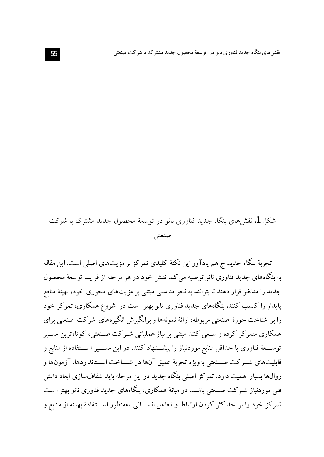شکل 1. نقش های بنگاه جدید فناوری نانو در توسعهٔ محصول جدید مشترک با شرکت صنعتبى

تجربهٔ بنگاه جدید ج هم یادآور این نکتهٔ کلیدی تمرکز بر مزیتهای اصلی است. این مقاله به بنگاههای جدید فناوری نانو توصیه می کند نقش خود در هر مرحله از فرایند توسعهٔ محصول جدید را مدنظر قرار دهند تا بتوانند به نحو مناسبی مبتنی بر مزیتهای محوری خود، بهینهٔ منافع پایدار را کسب کنند. بنگاههای جدید فناوری نانو بهتر ا ست در شروع همکاری، تمرکز خود را بر شناخت حوزهٔ صنعتی مربوطه، ارائهٔ نمونهها و بر انگیزش انگیزههای شرکت صنعتی برای همکاری متمرکز کرده و سـعی کنند مبتنی بر نیاز عملیاتی شـرکت صـنعتی، کوتاهترین مسـیر توســـعهٔ فناوری با حداقل منابع موردنیاز را پیشـــنهاد کنند. در این مســـیر اســـتفاده از منابع و قابليتهاي شــركت صــنعتبي بهويژه تجربهٔ عميق آنها در شــناخت اســتانداردها، آزمونها و روالها بسیار اهمیت دارد. تمرکز اصلی بنگاه جدید در این مرحله باید شفافسازی ابعاد دانش فنی موردنیاز شـرکت صـنعتی باشـد. در میانهٔ همکاری، بنگاههای جدید فناوری نانو بهتر ا ست تمرکز خود را بر حداکثر کردن ارتباط و تعامل انســـانی بهمنظور اســـتفادهٔ بهینه از منابع و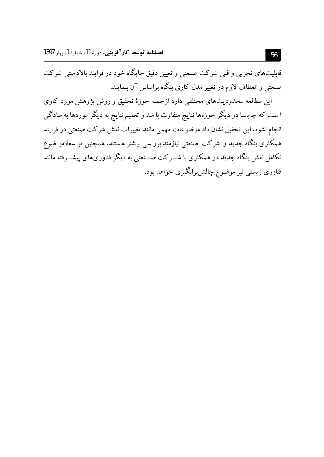.<br>قابلیتهای تجربی و فنی شرکت صنعتی و تعیین دقیق جایگاه خود در فرایند بالادستی شرکت صنعتی و انعطاف لازم در تغییر مدل کاری بنگاه براساس آن بنمایند.

این مطالعه محدودیتهای مختلفی دارد ازجمله حوزهٔ تحقیق و روش پژوهش مورد کاوی ا ست که چهبسا در دیگر حوزهها نتایج متفاوت با شد و تعمیم نتایج به دیگر موردها به سادگی انجام نشود.این تحقیق نشان داد موضوعات مهمی مانند تغییرات نقش شرکت صنعتی در فرایند همکاری بنگاه جدید و شرکت صنعتی نیازمند برر سی بیشتر هستند. همچنین تو سعهٔ مو ضوع تکامل نقش بنگاه جدید در همکاری با شـــرکت صـــنعتی به دیگر فناوریهای پیشـــرفته مانند .<br>فناوری زیستی نیز موضوع چالشبرانگیزی خواهد بود.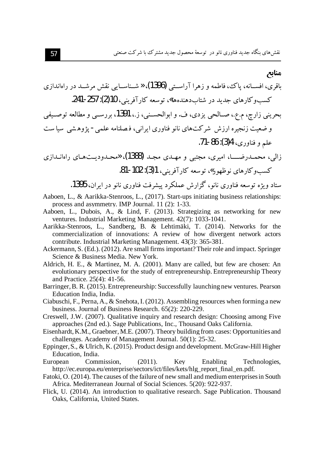#### مناىع

- Aaboen, L., & Aarikka-Stenroos, L., (2017). Start-ups initiating business relationships: process and asymmetry. IMP Journal, 11 (2): 1-33.
- Aaboen, L., Dubois, A., & Lind, F. (2013). Strategizing as networking for new ventures. Industrial Marketing Management. 42(7): 1033-1041.
- Aarikka-Stenroos, L., Sandberg, B. & Lehtimäki, T. (2014). Networks for the commercialization of innovations: A review of how divergent network actors contribute. Industrial Marketing Management. 43(3): 365-381.
- Ackermann, S. (Ed.). (2012). Are small firms important? Their role and impact. Springer Science & Business Media, New York.
- Aldrich, H. E., & Martinez, M. A. (2001). Many are called, but few are chosen: An evolutionary perspective for the study of entrepreneurship. Entrepreneurship Theory and Practice. 25(4): 41-56.
- Barringer, B. R. (2015). Entrepreneurship: Successfully launching new ventures. Pearson Education India. India.
- Ciabuschi, F., Perna, A., & Snehota, I. (2012). Assembling resources when forming a new business. Journal of Business Research. 65(2): 220-229.
- Creswell, J.W. (2007). Qualitative inquiry and research design: Choosing among Five approaches (2nd ed.). Sage Publications, Inc., Thousand Oaks California.
- Eisenhardt, K.M., Graebner, M.E. (2007). Theory building from cases: Opportunities and challenges. Academy of Management Journal. 50(1): 25-32.
- Eppinger, S., & Ulrich, K. (2015). Product design and development. McGraw-Hill Higher Education. India.
- European Commission.  $(2011).$ Kev Enabling Technologies, http://ec.europa.eu/enterprise/sectors/ict/files/kets/hlg\_report\_final\_en.pdf.
- Fatoki, O. (2014). The causes of the failure of new small and medium enterprises in South Africa. Mediterranean Journal of Social Sciences. 5(20): 922-937.
- Flick, U. (2014). An introduction to qualitative research. Sage Publication. Thousand Oaks, California, United States.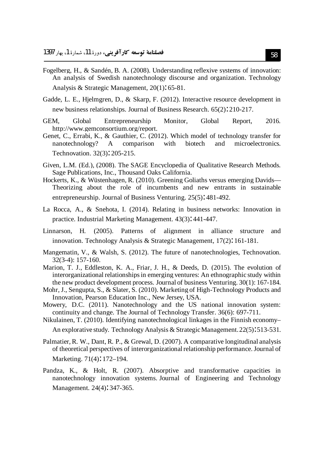- Fogelberg, H., & Sandén, B. A. (2008). Understanding reflexive systems of innovation: An analysis of Swedish nanotechnology discourse and organization. Technology Analysis & Strategic Management, 20(1): 65-81.
- Gadde, L. E., Hjelmgren, D., & Skarp, F. (2012). Interactive resource development in new business relationships. Journal of Business Research. 65(2): 210-217.
- Entrepreneurship Monitor. Global 2016. GEM. Global Report, http://www.gemconsortium.org/report.
- Genet, C., Errabi, K., & Gauthier, C. (2012). Which model of technology transfer for nanotechnology?  $\mathbf{A}$ comparison with biotech and microelectronics. Technovation. 32(3): 205-215.
- Given, L.M. (Ed.), (2008). The SAGE Encyclopedia of Oualitative Research Methods. Sage Publications, Inc., Thousand Oaks California.
- Hockerts, K., & Wüstenhagen, R. (2010). Greening Goliaths versus emerging Davids— Theorizing about the role of incumbents and new entrants in sustainable entrepreneurship. Journal of Business Venturing. 25(5): 481-492.
- La Rocca, A., & Snehota, I. (2014). Relating in business networks: Innovation in practice. Industrial Marketing Management. 43(3): 441-447.
- Linnarson, H. (2005). Patterns of alignment in alliance structure and innovation. Technology Analysis & Strategic Management, 17(2): 161-181.
- Mangematin, V., & Walsh, S. (2012). The future of nanotechnologies, Technovation.  $32(3-4): 157-160.$
- Marion, T. J., Eddleston, K. A., Friar, J. H., & Deeds, D. (2015). The evolution of interorganizational relationships in emerging ventures: An ethnographic study within the new product development process. Journal of business Venturing,  $30(1)$ :  $167-184$ .
- Mohr, J., Sengupta, S., & Slater, S. (2010). Marketing of High-Technology Products and Innovation, Pearson Education Inc., New Jersey, USA.
- Mowery, D.C. (2011). Nanotechnology and the US national innovation system: continuity and change. The Journal of Technology Transfer. 36(6): 697-711.

Nikulainen, T. (2010). Identifying nanotechnological linkages in the Finnish economy-

An explorative study. Technology Analysis & Strategic Management. 22(5): 513-531.

- Palmatier, R. W., Dant, R. P., & Grewal, D. (2007). A comparative longitudinal analysis of theoretical perspectives of interorganizational relationship performance. Journal of Marketing. 71(4): 172-194.
- Pandza, K., & Holt, R. (2007). Absorptive and transformative capacities in nanotechnology innovation systems. Journal of Engineering and Technology Management. 24(4): 347-365.